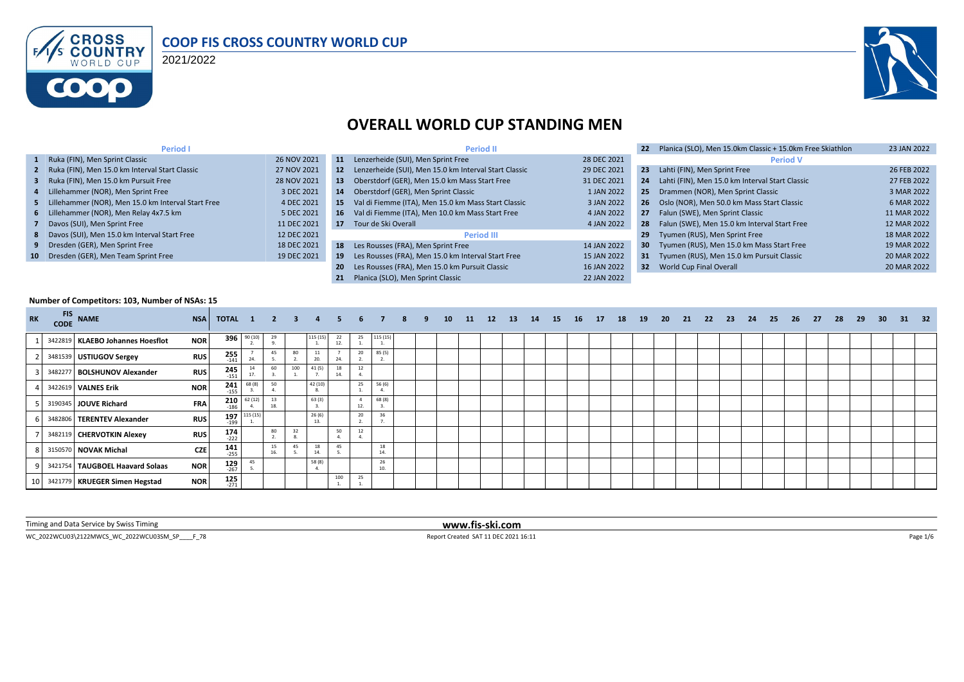

#### **COOP FIS CROSS COUNTRY WORLD CUP**

2021/2022



#### **OVERALL WORLD CUP STANDING MEN**

| Period I                                             |             |     | <b>Period II</b>                                         |             | 22              | Planica (SLO), Men 15.0km Classic + 15.0km Free Skiathlon | 23 JAN 2022 |
|------------------------------------------------------|-------------|-----|----------------------------------------------------------|-------------|-----------------|-----------------------------------------------------------|-------------|
| 1 Ruka (FIN), Men Sprint Classic                     | 26 NOV 2021 | 11  | Lenzerheide (SUI), Men Sprint Free                       | 28 DEC 2021 |                 | <b>Period V</b>                                           |             |
| 2 Ruka (FIN), Men 15.0 km Interval Start Classic     | 27 NOV 2021 |     | 12 Lenzerheide (SUI), Men 15.0 km Interval Start Classic | 29 DEC 2021 | 23              | Lahti (FIN), Men Sprint Free                              | 26 FEB 2022 |
| 3 Ruka (FIN), Men 15.0 km Pursuit Free               | 28 NOV 2021 | 13  | Oberstdorf (GER), Men 15.0 km Mass Start Free            | 31 DEC 2021 | 24              | Lahti (FIN), Men 15.0 km Interval Start Classic           | 27 FEB 2022 |
| 4 Lillehammer (NOR), Men Sprint Free                 | 3 DEC 2021  | 14  | Oberstdorf (GER), Men Sprint Classic                     | 1 JAN 2022  |                 | 25 Drammen (NOR), Men Sprint Classic                      | 3 MAR 2022  |
| 5 Lillehammer (NOR), Men 15.0 km Interval Start Free | 4 DEC 2021  | 15  | Val di Fiemme (ITA), Men 15.0 km Mass Start Classic      | 3 JAN 2022  |                 | 26 Oslo (NOR), Men 50.0 km Mass Start Classic             | 6 MAR 2022  |
| 6 Lillehammer (NOR), Men Relay 4x7.5 km              | 5 DEC 2021  | 16  | Val di Fiemme (ITA), Men 10.0 km Mass Start Free         | 4 JAN 2022  |                 | 27 Falun (SWE), Men Sprint Classic                        | 11 MAR 2022 |
| 7 Davos (SUI), Men Sprint Free                       | 11 DEC 2021 |     | 17 Tour de Ski Overall                                   | 4 JAN 2022  |                 | 28 Falun (SWE), Men 15.0 km Interval Start Free           | 12 MAR 2022 |
| 8 Davos (SUI), Men 15.0 km Interval Start Free       | 12 DEC 2021 |     | <b>Period III</b>                                        |             | 29              | Tyumen (RUS), Men Sprint Free                             | 18 MAR 2022 |
| 9 Dresden (GER), Men Sprint Free                     | 18 DEC 2021 |     | 18 Les Rousses (FRA), Men Sprint Free                    | 14 JAN 2022 | 30 <sub>1</sub> | Tyumen (RUS), Men 15.0 km Mass Start Free                 | 19 MAR 2022 |
| 10 Dresden (GER), Men Team Sprint Free               | 19 DEC 2021 | 19  | Les Rousses (FRA), Men 15.0 km Interval Start Free       | 15 JAN 2022 |                 | 31 Tyumen (RUS), Men 15.0 km Pursuit Classic              | 20 MAR 2022 |
|                                                      |             | -20 | Les Rousses (FRA), Men 15.0 km Pursuit Classic           | 16 JAN 2022 |                 | 32 World Cup Final Overall                                | 20 MAR 2022 |
|                                                      |             | 21  | Planica (SLO). Men Sprint Classic                        | 22 JAN 2022 |                 |                                                           |             |

#### **Number of Competitors: 103, Number of NSAs: 15**

| <b>RK</b> | <b>FIS</b><br><b>CODE</b> | <b>NAME</b>                      | <b>NSA</b> | TOTAL 1 2 3 4         |               |           |     |              | -5       | 6   |           | 8 | 10 | 11 | 12 | <b>13</b> | 14 | 15 | <b>16</b> | <b>17</b> | 18 | 19 | 20 | 21 | - 22 | - 23 | 24 | 25 | 26 | -27 | 28 | 29 | 30 <sup>°</sup> | - 31 | 32 |
|-----------|---------------------------|----------------------------------|------------|-----------------------|---------------|-----------|-----|--------------|----------|-----|-----------|---|----|----|----|-----------|----|----|-----------|-----------|----|----|----|----|------|------|----|----|----|-----|----|----|-----------------|------|----|
|           |                           | 3422819 KLAEBO Johannes Hoesflot | <b>NOR</b> |                       | 396 90 (10)   | 29        |     | 115 (15)     | 22<br>12 | 25  | 115 (15)  |   |    |    |    |           |    |    |           |           |    |    |    |    |      |      |    |    |    |     |    |    |                 |      |    |
|           |                           | 3481539 USTIUGOV Sergey          | <b>RUS</b> | $255$<br>$-141$       | 24.           | 45        | 80  | 11<br>20.    |          | 20  | 85 (5)    |   |    |    |    |           |    |    |           |           |    |    |    |    |      |      |    |    |    |     |    |    |                 |      |    |
|           | 3482277                   | <b>BOLSHUNOV Alexander</b>       | <b>RUS</b> | $245$<br>$-151$       | 17.           | 60        | 100 | 41 (5)       | 14.      | 12  |           |   |    |    |    |           |    |    |           |           |    |    |    |    |      |      |    |    |    |     |    |    |                 |      |    |
|           |                           | 3422619 VALNES Erik              | <b>NOR</b> | 241<br>$-155$         | 68 (8)        | 50        |     | 42 (10)      |          | 25  | 56 (6)    |   |    |    |    |           |    |    |           |           |    |    |    |    |      |      |    |    |    |     |    |    |                 |      |    |
|           |                           | 3190345 JOUVE Richard            | <b>FRA</b> | $-186$                | $210$ 62 (12) | 13<br>18. |     | 63 (3)       |          | 12. | 68 (8)    |   |    |    |    |           |    |    |           |           |    |    |    |    |      |      |    |    |    |     |    |    |                 |      |    |
|           |                           | 3482806   TERENTEV Alexander     | <b>RUS</b> | $-199$                | 197 115 (15)  |           |     | 26(6)<br>13. |          | 20  | 36        |   |    |    |    |           |    |    |           |           |    |    |    |    |      |      |    |    |    |     |    |    |                 |      |    |
|           |                           | 3482119 CHERVOTKIN Alexey        | <b>RUS</b> | $174$<br>$-222$       |               | 80        | 32  |              | 50       | 12  |           |   |    |    |    |           |    |    |           |           |    |    |    |    |      |      |    |    |    |     |    |    |                 |      |    |
|           |                           | 3150570 NOVAK Michal             | <b>CZE</b> | $141$ <sub>255</sub>  |               | 15<br>16. | 45  | 18<br>14     | 45       |     | 18<br>14. |   |    |    |    |           |    |    |           |           |    |    |    |    |      |      |    |    |    |     |    |    |                 |      |    |
|           |                           | 3421754 TAUGBOEL Haavard Solaas  | <b>NOR</b> | $129$ <sub>-267</sub> |               |           |     | 58 (8)       |          |     | 26<br>10. |   |    |    |    |           |    |    |           |           |    |    |    |    |      |      |    |    |    |     |    |    |                 |      |    |
|           |                           | 3421779   KRUEGER Simen Hegstad  | <b>NOR</b> | 125<br>$-271$         |               |           |     |              | 100      | 25  |           |   |    |    |    |           |    |    |           |           |    |    |    |    |      |      |    |    |    |     |    |    |                 |      |    |

Timing and Data Service by Swiss Timing **www.fis-ski.com**

WC\_2022WCU03\2122MWCS\_WC\_2022WCU03SM\_SP\_\_\_F\_78 <br>
Report Created SAT 11 DEC 2021 16:11 Page 1/6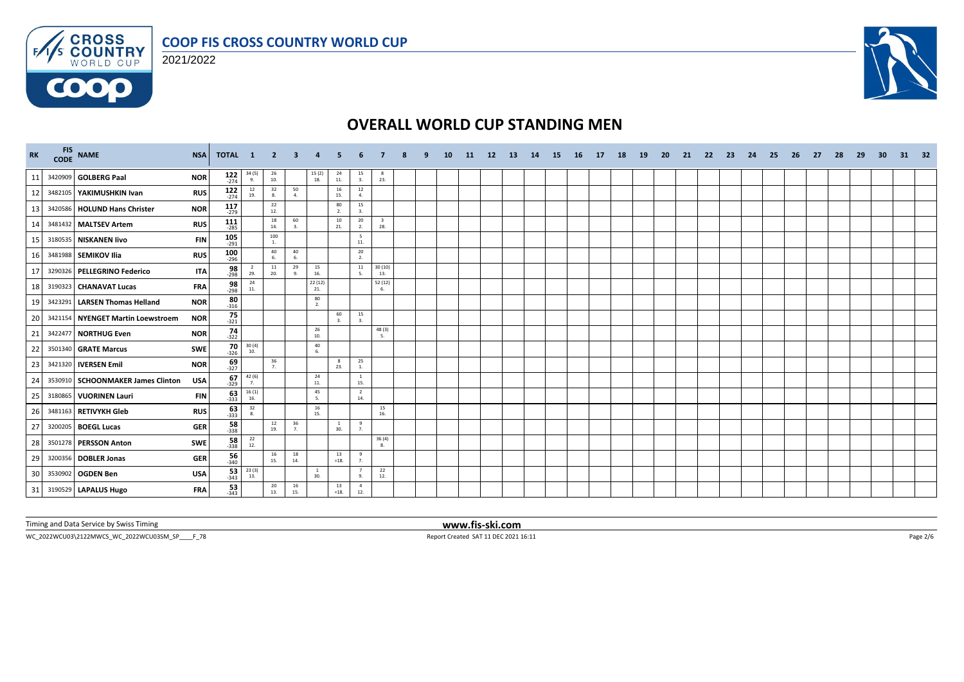





# **OVERALL WORLD CUP STANDING MEN**

| <b>RK</b> | FIS NAME                          | <b>NSA</b> | TOTAL 1               |                                          | $\overline{2}$                           | 3                    |                       |                     |                        |                                |  | <b>10</b> | -11 | 12 <sup>2</sup> | <b>13</b> | 14 | -15 | <b>16</b> | 17 | 18 | <b>19</b> | -20 | 21 | 22 | -23 | 24 | -25 | 26 | 27 | -28 | 29 | -30 | 31 | 32 |
|-----------|-----------------------------------|------------|-----------------------|------------------------------------------|------------------------------------------|----------------------|-----------------------|---------------------|------------------------|--------------------------------|--|-----------|-----|-----------------|-----------|----|-----|-----------|----|----|-----------|-----|----|----|-----|----|-----|----|----|-----|----|-----|----|----|
| 11        | 3420909 GOLBERG Paal              | <b>NOR</b> | $122$<br>$274$        | $\frac{34(5)}{9}$                        | $\begin{array}{c} 26 \\ 10. \end{array}$ |                      | $15(2)$<br>$18.$      | 24<br>11.           | 15<br>3.               | 23.                            |  |           |     |                 |           |    |     |           |    |    |           |     |    |    |     |    |     |    |    |     |    |     |    |    |
| 12        | 3482105 YAKIMUSHKIN Ivan          | <b>RUS</b> | $122$<br>$-274$       | 12<br>19.                                | 32<br>8.                                 | 50<br>$\overline{a}$ |                       | 16<br>15.           | $12\,$<br>4.           |                                |  |           |     |                 |           |    |     |           |    |    |           |     |    |    |     |    |     |    |    |     |    |     |    |    |
| 13        | 3420586 HOLUND Hans Christer      | <b>NOR</b> | $117$<br>$-279$       |                                          | 22<br>12.                                |                      |                       | 80<br>2.            | 15<br>3.               |                                |  |           |     |                 |           |    |     |           |    |    |           |     |    |    |     |    |     |    |    |     |    |     |    |    |
| 14        | 3481432 MALTSEV Artem             | <b>RUS</b> | $111$<br>-285         |                                          | 18<br>14.                                | 60<br>3.             |                       | 10<br>21.           | 20<br>2.               | $\overline{\mathbf{3}}$<br>28. |  |           |     |                 |           |    |     |           |    |    |           |     |    |    |     |    |     |    |    |     |    |     |    |    |
| 15        | 3180535 NISKANEN livo             | <b>FIN</b> | $105$ <sub>-291</sub> |                                          | 100<br><b>1.</b>                         |                      |                       |                     | 5<br>11.               |                                |  |           |     |                 |           |    |     |           |    |    |           |     |    |    |     |    |     |    |    |     |    |     |    |    |
| 16        | 3481988 SEMIKOV Ilia              | <b>RUS</b> | 100<br>$-296$         |                                          | 40<br>6.                                 | 40<br>6.             |                       |                     | 20<br>2.               |                                |  |           |     |                 |           |    |     |           |    |    |           |     |    |    |     |    |     |    |    |     |    |     |    |    |
| 17        | 3290326 PELLEGRINO Federico       | <b>ITA</b> | $\frac{98}{298}$      | $\overline{2}$<br>29.                    | $\frac{11}{20}$                          | 29                   | 15<br>16.             |                     | 11<br>$\mathbf{r}$     | 30(10)<br>13.                  |  |           |     |                 |           |    |     |           |    |    |           |     |    |    |     |    |     |    |    |     |    |     |    |    |
| 18        | 3190323 CHANAVAT Lucas            | <b>FRA</b> | $\frac{98}{-298}$     | 24<br>11.                                |                                          |                      | 22(12)<br>21.         |                     |                        | 52 (12)<br>6.                  |  |           |     |                 |           |    |     |           |    |    |           |     |    |    |     |    |     |    |    |     |    |     |    |    |
| 19        | 3423291 LARSEN Thomas Helland     | <b>NOR</b> | $\frac{80}{316}$      |                                          |                                          |                      | 80<br>2.              |                     |                        |                                |  |           |     |                 |           |    |     |           |    |    |           |     |    |    |     |    |     |    |    |     |    |     |    |    |
| 20        | 3421154 NYENGET Martin Loewstroem | <b>NOR</b> | $75 - 321$            |                                          |                                          |                      |                       | 60<br>$\mathbf{a}$  | 15<br>$\overline{3}$ . |                                |  |           |     |                 |           |    |     |           |    |    |           |     |    |    |     |    |     |    |    |     |    |     |    |    |
| 21        | 3422477 NORTHUG Even              | <b>NOR</b> | $74 - 322$            |                                          |                                          |                      | 26<br>10.             |                     |                        | 48 (3)<br>5.                   |  |           |     |                 |           |    |     |           |    |    |           |     |    |    |     |    |     |    |    |     |    |     |    |    |
| 22        | 3501340 GRATE Marcus              | <b>SWE</b> | 70<br>$-326$          | 30(4)<br>10.                             |                                          |                      | 40<br>6.              |                     |                        |                                |  |           |     |                 |           |    |     |           |    |    |           |     |    |    |     |    |     |    |    |     |    |     |    |    |
| 23        | 3421320 <b>IVERSEN Emil</b>       | <b>NOR</b> | $\frac{69}{-327}$     |                                          | 36<br>7.                                 |                      |                       | 8<br>23.            | 25<br><b>1.</b>        |                                |  |           |     |                 |           |    |     |           |    |    |           |     |    |    |     |    |     |    |    |     |    |     |    |    |
| 24        | 3530910 SCHOONMAKER James Clinton | <b>USA</b> | $\frac{67}{-329}$     | $\frac{42}{7}$ (6)                       |                                          |                      | 24<br>11.             |                     | $\overline{1}$<br>15.  |                                |  |           |     |                 |           |    |     |           |    |    |           |     |    |    |     |    |     |    |    |     |    |     |    |    |
| 25        | 3180865 VUORINEN Lauri            | <b>FIN</b> | $\frac{63}{333}$      | $\frac{16(1)}{16}$                       |                                          |                      | 45<br>5.              |                     | $\overline{2}$<br>14.  |                                |  |           |     |                 |           |    |     |           |    |    |           |     |    |    |     |    |     |    |    |     |    |     |    |    |
| 26        | 3481163 RETIVYKH Gleb             | <b>RUS</b> | $\frac{63}{333}$      | $\begin{array}{c} 32 \\ 8. \end{array}$  |                                          |                      | 16<br>15.             |                     |                        | 15<br>16.                      |  |           |     |                 |           |    |     |           |    |    |           |     |    |    |     |    |     |    |    |     |    |     |    |    |
| 27        | 3200205 BOEGL Lucas               | <b>GER</b> | $\frac{58}{338}$      |                                          | 12<br>19.                                | 36<br>7.             |                       | <sup>1</sup><br>30. | 9<br>7 <sub>1</sub>    |                                |  |           |     |                 |           |    |     |           |    |    |           |     |    |    |     |    |     |    |    |     |    |     |    |    |
| 28        | 3501278 PERSSON Anton             | SWE        | 58<br>$-338$          | $\begin{array}{c} 22 \\ 12. \end{array}$ |                                          |                      |                       |                     |                        | 36(4)<br>8.                    |  |           |     |                 |           |    |     |           |    |    |           |     |    |    |     |    |     |    |    |     |    |     |    |    |
| 29        | 3200356 DOBLER Jonas              | <b>GER</b> | $\frac{56}{340}$      |                                          | 16<br>15.                                | 18<br>14.            |                       | 13<br>$=18.$        | 9<br>7.                |                                |  |           |     |                 |           |    |     |           |    |    |           |     |    |    |     |    |     |    |    |     |    |     |    |    |
| 30        | 3530902 OGDEN Ben                 | <b>USA</b> | $\frac{53}{343}$      | 23(3)<br>13.                             |                                          |                      | $\overline{1}$<br>30. |                     | $\overline{7}$<br>9.   | 22<br>12.                      |  |           |     |                 |           |    |     |           |    |    |           |     |    |    |     |    |     |    |    |     |    |     |    |    |
| 31        | 3190529 LAPALUS Hugo              | <b>FRA</b> | 53<br>$-343$          |                                          | 20<br>13.                                | 16<br>15.            |                       | 13<br>$=18.$        | $\overline{4}$<br>12.  |                                |  |           |     |                 |           |    |     |           |    |    |           |     |    |    |     |    |     |    |    |     |    |     |    |    |

Timing and Data Service by Swiss Timing **www.fis-ski.com**

WC\_2022WCU03\2122MWCS\_WC\_2022WCU03SM\_SP\_\_\_\_F\_78 Report Created SAT 11 DEC 2021 16:11 Page 2/6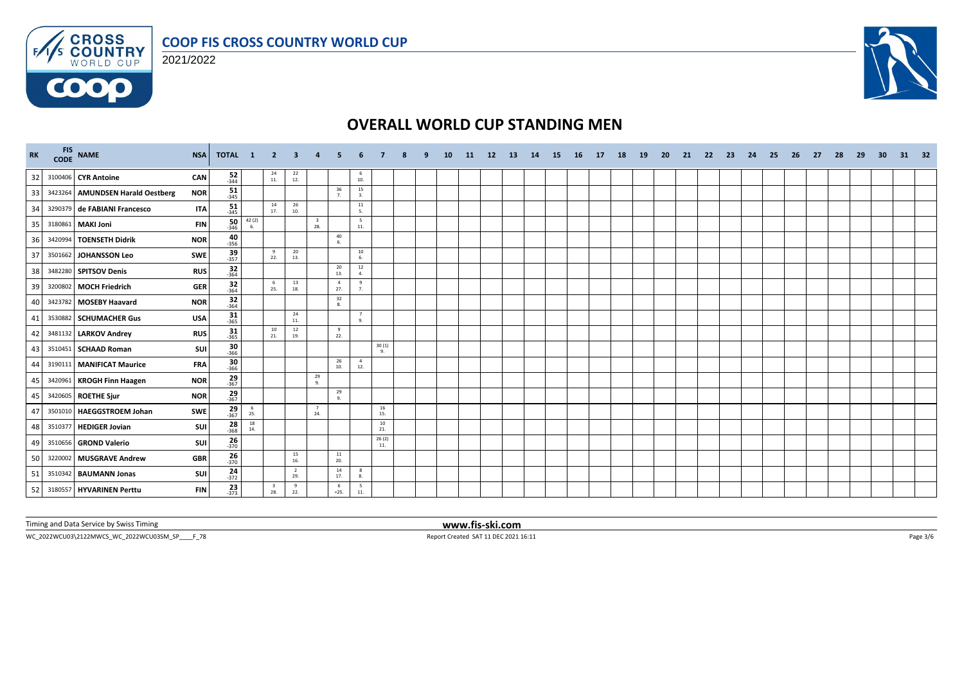

#### 2021/2022



# **OVERALL WORLD CUP STANDING MEN**

| <b>RK</b> |         | FIS NAME<br><b>NSA</b>                         | TOTAL 1 2                         |                                        |                                | $\mathbf{3}$          | $\overline{a}$                 |                       |                       |                   |  | <b>10</b> | <b>11</b> | 12 | <b>13</b> | 14 | -15 | - 16 | 17 | 18 | <b>19</b> | -20 | 21 | - 22 | - 23 | -24 | - 25 | 26 | -27 | 28 | 29 | 30 | 31 | - 32 |
|-----------|---------|------------------------------------------------|-----------------------------------|----------------------------------------|--------------------------------|-----------------------|--------------------------------|-----------------------|-----------------------|-------------------|--|-----------|-----------|----|-----------|----|-----|------|----|----|-----------|-----|----|------|------|-----|------|----|-----|----|----|----|----|------|
| 32        |         | 3100406 CYR Antoine                            | $\frac{52}{344}$<br>CAN           |                                        | $^{24}_{11}$                   | $^{22}_{12}$          |                                |                       | 6<br>10.              |                   |  |           |           |    |           |    |     |      |    |    |           |     |    |      |      |     |      |    |     |    |    |    |    |      |
| 33        |         | 3423264 AMUNDSEN Harald Oestberg<br><b>NOR</b> | $\frac{51}{345}$                  |                                        |                                |                       |                                | 36<br>$\overline{7}$  | 15<br>3.              |                   |  |           |           |    |           |    |     |      |    |    |           |     |    |      |      |     |      |    |     |    |    |    |    |      |
| 34        |         | 3290379 de FABIANI Francesco                   | $\frac{51}{345}$<br><b>ITA</b>    |                                        | 14<br>17.                      | 26<br>10.             |                                |                       | 11<br>5.              |                   |  |           |           |    |           |    |     |      |    |    |           |     |    |      |      |     |      |    |     |    |    |    |    |      |
| 35        |         | 3180861 MAKI Joni                              | 50<br><b>FIN</b><br>$-346$        | 42 (2)<br>6.                           |                                |                       | $\overline{\mathbf{3}}$<br>28. |                       | 5<br>$11.$            |                   |  |           |           |    |           |    |     |      |    |    |           |     |    |      |      |     |      |    |     |    |    |    |    |      |
| 36        | 3420994 | <b>TOENSETH Didrik</b><br><b>NOR</b>           | $-40$<br>$-356$                   |                                        |                                |                       |                                | 40<br>6.              |                       |                   |  |           |           |    |           |    |     |      |    |    |           |     |    |      |      |     |      |    |     |    |    |    |    |      |
| 37        |         | 3501662 JOHANSSON Leo<br><b>SWE</b>            | $39 - 357$                        |                                        | 9<br>22.                       | 20<br>13.             |                                |                       | $10\,$<br>6.          |                   |  |           |           |    |           |    |     |      |    |    |           |     |    |      |      |     |      |    |     |    |    |    |    |      |
| 38        |         | 3482280 SPITSOV Denis                          | $\frac{32}{364}$<br><b>RUS</b>    |                                        |                                |                       |                                | 20<br>13.             | 12<br>4.              |                   |  |           |           |    |           |    |     |      |    |    |           |     |    |      |      |     |      |    |     |    |    |    |    |      |
| 39        |         | 3200802 MOCH Friedrich                         | $\frac{32}{-364}$<br><b>GER</b>   |                                        | 6<br>25.                       | 13<br>18.             |                                | $\overline{4}$<br>27. | 9<br>7.               |                   |  |           |           |    |           |    |     |      |    |    |           |     |    |      |      |     |      |    |     |    |    |    |    |      |
| 40        |         | 3423782 MOSEBY Haavard<br><b>NOR</b>           | $32$ <sub>364</sub>               |                                        |                                |                       |                                | 32                    |                       |                   |  |           |           |    |           |    |     |      |    |    |           |     |    |      |      |     |      |    |     |    |    |    |    |      |
| 41        | 3530882 | <b>SCHUMACHER Gus</b>                          | $31$ <sub>365</sub><br><b>USA</b> |                                        |                                | 24<br>11.             |                                |                       | 7<br>9.               |                   |  |           |           |    |           |    |     |      |    |    |           |     |    |      |      |     |      |    |     |    |    |    |    |      |
| 42        |         | 3481132 LARKOV Andrey                          | $\frac{31}{365}$<br><b>RUS</b>    |                                        | 10<br>21.                      | 12<br>19.             |                                | 9<br>22.              |                       |                   |  |           |           |    |           |    |     |      |    |    |           |     |    |      |      |     |      |    |     |    |    |    |    |      |
| 43        |         | 3510451 SCHAAD Roman                           | 30<br>SUI<br>$-366$               |                                        |                                |                       |                                |                       |                       | 30(1)<br>9.       |  |           |           |    |           |    |     |      |    |    |           |     |    |      |      |     |      |    |     |    |    |    |    |      |
| 44        |         | 3190111 MANIFICAT Maurice                      | 30<br><b>FRA</b><br>$-366$        |                                        |                                |                       |                                | 26<br>10.             | $\overline{4}$<br>12. |                   |  |           |           |    |           |    |     |      |    |    |           |     |    |      |      |     |      |    |     |    |    |    |    |      |
| 45        |         | 3420961 KROGH Finn Haagen<br><b>NOR</b>        | $\frac{29}{367}$                  |                                        |                                |                       | 29<br>9.                       |                       |                       |                   |  |           |           |    |           |    |     |      |    |    |           |     |    |      |      |     |      |    |     |    |    |    |    |      |
| 45        |         | 3420605 ROETHE Sjur<br><b>NOR</b>              | $29 \atop 367$                    |                                        |                                |                       |                                | 29<br>$\mathbf{Q}$    |                       |                   |  |           |           |    |           |    |     |      |    |    |           |     |    |      |      |     |      |    |     |    |    |    |    |      |
| 47        |         | 3501010 HAEGGSTROEM Johan<br><b>SWE</b>        | $\frac{29}{367}$                  | $\begin{array}{c} 6 \\ 25 \end{array}$ |                                |                       | 7<br>24.                       |                       |                       | ${\bf 16}$<br>15. |  |           |           |    |           |    |     |      |    |    |           |     |    |      |      |     |      |    |     |    |    |    |    |      |
| 48        | 351037  | <b>HEDIGER Jovian</b>                          | $\frac{28}{368}$<br>SUI           | 18<br>14.                              |                                |                       |                                |                       |                       | 10<br>21.         |  |           |           |    |           |    |     |      |    |    |           |     |    |      |      |     |      |    |     |    |    |    |    |      |
| 49        |         | 3510656 GROND Valerio                          | $\frac{26}{370}$<br>SUI           |                                        |                                |                       |                                |                       |                       | 26(2)<br>11.      |  |           |           |    |           |    |     |      |    |    |           |     |    |      |      |     |      |    |     |    |    |    |    |      |
| 50        | 3220002 | <b>MUSGRAVE Andrew</b>                         | $\frac{26}{370}$<br><b>GBR</b>    |                                        |                                | 15<br>16.             |                                | $11\,$<br>20.         |                       |                   |  |           |           |    |           |    |     |      |    |    |           |     |    |      |      |     |      |    |     |    |    |    |    |      |
| 51        |         | 3510342 BAUMANN Jonas                          | $\frac{24}{372}$<br>SUI           |                                        |                                | $\overline{2}$<br>29. |                                | 14<br>17.             | 8<br>8.               |                   |  |           |           |    |           |    |     |      |    |    |           |     |    |      |      |     |      |    |     |    |    |    |    |      |
| 52        |         | 3180557 HYVARINEN Perttu                       | $\frac{23}{373}$<br><b>FIN</b>    |                                        | $\overline{\mathbf{3}}$<br>28. | 9<br>22.              |                                | 6<br>$=25.$           | 5<br>$11.$            |                   |  |           |           |    |           |    |     |      |    |    |           |     |    |      |      |     |      |    |     |    |    |    |    |      |

Timing and Data Service by Swiss Timing **www.fis-ski.com**

WC\_2022WCU03\2122MWCS\_WC\_2022WCU03SM\_SP\_\_\_\_F\_78 Report Created SAT 11 DEC 2021 16:11 Page 3/6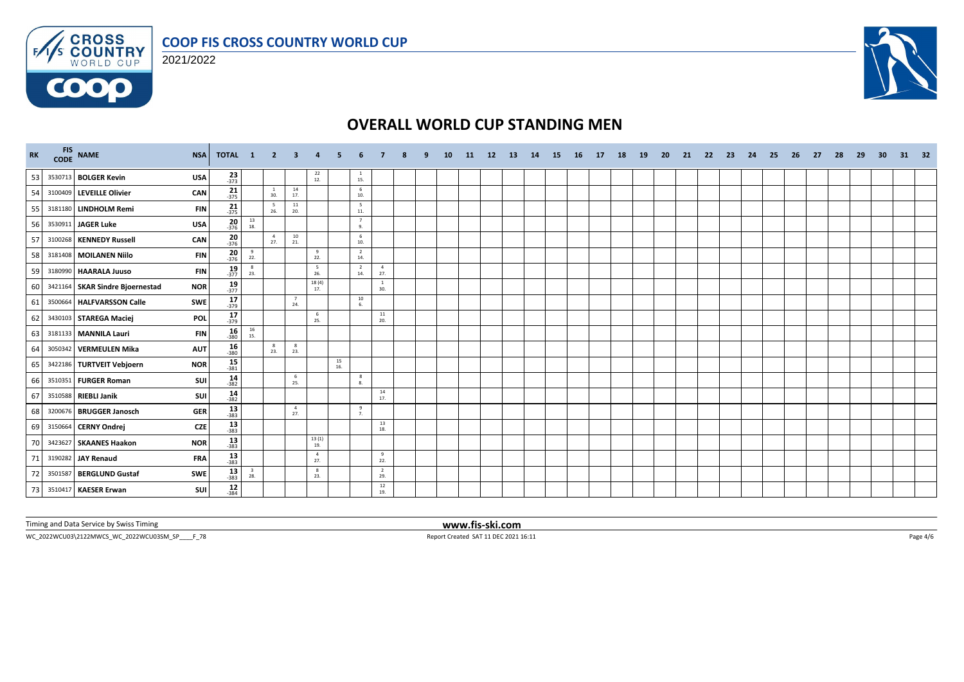



**COOO** 



# **OVERALL WORLD CUP STANDING MEN**

| <b>RK</b> | CODE | FIS NAME                        | <b>NSA</b> | TOTAL 1             |                                          | $\overline{2}$        | -3                    |                       |           |                       |                       |  | 10 | -11 | <b>12</b> | 13 | 14 | -15 | - 16 | 17 | 18 | 19 | -20 | 21 | -22 | - 23 | -24 | -25 | - 26 | -27 | 28 | 29 | 30 | 31 | 32 |
|-----------|------|---------------------------------|------------|---------------------|------------------------------------------|-----------------------|-----------------------|-----------------------|-----------|-----------------------|-----------------------|--|----|-----|-----------|----|----|-----|------|----|----|----|-----|----|-----|------|-----|-----|------|-----|----|----|----|----|----|
| 53        |      | 3530713 BOLGER Kevin            | <b>USA</b> | $\frac{23}{373}$    |                                          |                       |                       | $^{22}_{12}$          |           | $\mathbf{1}$<br>15.   |                       |  |    |     |           |    |    |     |      |    |    |    |     |    |     |      |     |     |      |     |    |    |    |    |    |
| 54        |      | 3100409 LEVEILLE Olivier        | CAN        | $\frac{21}{375}$    |                                          | $\mathbf{1}$<br>30.   | 14<br>17.             |                       |           | 6<br>10.              |                       |  |    |     |           |    |    |     |      |    |    |    |     |    |     |      |     |     |      |     |    |    |    |    |    |
| 55        |      | 3181180 LINDHOLM Remi           | <b>FIN</b> | $\frac{21}{375}$    |                                          | 5<br>26.              | 11<br>20.             |                       |           | 5<br>$11.$            |                       |  |    |     |           |    |    |     |      |    |    |    |     |    |     |      |     |     |      |     |    |    |    |    |    |
| 56        |      | 3530911 JAGER Luke              | <b>USA</b> | $\frac{20}{376}$    | $\begin{array}{c} 13 \\ 18. \end{array}$ |                       |                       |                       |           | 7<br>9.               |                       |  |    |     |           |    |    |     |      |    |    |    |     |    |     |      |     |     |      |     |    |    |    |    |    |
| 57        |      | 3100268 KENNEDY Russell         | CAN        | $\frac{20}{376}$    |                                          | $\overline{4}$<br>27. | 10<br>21.             |                       |           | 6<br>10.              |                       |  |    |     |           |    |    |     |      |    |    |    |     |    |     |      |     |     |      |     |    |    |    |    |    |
| 58        |      | 3181408 MOILANEN Niilo          | <b>FIN</b> | $\frac{20}{-376}$   | 9<br>22.                                 |                       |                       | 9<br>22.              |           | $\overline{2}$<br>14. |                       |  |    |     |           |    |    |     |      |    |    |    |     |    |     |      |     |     |      |     |    |    |    |    |    |
| 59        |      | 3180990 HAARALA Juuso           | <b>FIN</b> | $19 - 377$          | $_{\rm 8}$<br>23.                        |                       |                       | 5<br>26.              |           | $\overline{2}$<br>14. | 4<br>27.              |  |    |     |           |    |    |     |      |    |    |    |     |    |     |      |     |     |      |     |    |    |    |    |    |
| 60        |      | 3421164 SKAR Sindre Bioernestad | <b>NOR</b> | $\frac{19}{-377}$   |                                          |                       |                       | 18 (4)<br>17.         |           |                       | 30.                   |  |    |     |           |    |    |     |      |    |    |    |     |    |     |      |     |     |      |     |    |    |    |    |    |
| 61        |      | 3500664 HALFVARSSON Calle       | SWE        | $17 - 379$          |                                          |                       | $\overline{7}$<br>24. |                       |           | 10<br>6               |                       |  |    |     |           |    |    |     |      |    |    |    |     |    |     |      |     |     |      |     |    |    |    |    |    |
| 62        |      | 3430103 STAREGA Maciej          | <b>POL</b> | $17 - 379$          |                                          |                       |                       | 6<br>25.              |           |                       | 11<br>20.             |  |    |     |           |    |    |     |      |    |    |    |     |    |     |      |     |     |      |     |    |    |    |    |    |
| 63        |      | 3181133 MANNILA Lauri           | <b>FIN</b> | $16 - 380$          | $\frac{16}{15}$                          |                       |                       |                       |           |                       |                       |  |    |     |           |    |    |     |      |    |    |    |     |    |     |      |     |     |      |     |    |    |    |    |    |
| 64        |      | 3050342 VERMEULEN Mika          | <b>AUT</b> | $\frac{16}{380}$    |                                          | 8<br>23.              | 8<br>23.              |                       |           |                       |                       |  |    |     |           |    |    |     |      |    |    |    |     |    |     |      |     |     |      |     |    |    |    |    |    |
| 65        |      | 3422186 TURTVEIT Vebjoern       | <b>NOR</b> | $15 - 381$          |                                          |                       |                       |                       | 15<br>16. |                       |                       |  |    |     |           |    |    |     |      |    |    |    |     |    |     |      |     |     |      |     |    |    |    |    |    |
| 66        |      | 3510351 FURGER Roman            | SUI        | $14 - 382$          |                                          |                       | 6<br>25.              |                       |           | 8<br>8.               |                       |  |    |     |           |    |    |     |      |    |    |    |     |    |     |      |     |     |      |     |    |    |    |    |    |
| 67        |      | 3510588 RIEBLI Janik            | SUI        | $14 \over 382$      |                                          |                       |                       |                       |           |                       | 14<br>17.             |  |    |     |           |    |    |     |      |    |    |    |     |    |     |      |     |     |      |     |    |    |    |    |    |
| 68        |      | 3200676 BRUGGER Janosch         | <b>GER</b> | $\frac{13}{383}$    |                                          |                       | $\overline{4}$<br>27. |                       |           | 9<br>7.               |                       |  |    |     |           |    |    |     |      |    |    |    |     |    |     |      |     |     |      |     |    |    |    |    |    |
| 69        |      | 3150664 CERNY Ondrej            | <b>CZE</b> | $13 - 383$          |                                          |                       |                       |                       |           |                       | 13<br>18.             |  |    |     |           |    |    |     |      |    |    |    |     |    |     |      |     |     |      |     |    |    |    |    |    |
| 70        |      | 3423627 SKAANES Haakon          | <b>NOR</b> | $13 - 383$          |                                          |                       |                       | $\frac{13(1)}{19}$    |           |                       |                       |  |    |     |           |    |    |     |      |    |    |    |     |    |     |      |     |     |      |     |    |    |    |    |    |
| 71        |      | 3190282 JAY Renaud              | <b>FRA</b> | $\frac{13}{383}$    |                                          |                       |                       | $\overline{4}$<br>27. |           |                       | 9<br>22.              |  |    |     |           |    |    |     |      |    |    |    |     |    |     |      |     |     |      |     |    |    |    |    |    |
| 72        |      | 3501587 BERGLUND Gustaf         | SWE        | $\frac{13}{383}$    | $\overline{\mathbf{3}}$<br>28.           |                       |                       | 8<br>23.              |           |                       | $\overline{2}$<br>29. |  |    |     |           |    |    |     |      |    |    |    |     |    |     |      |     |     |      |     |    |    |    |    |    |
| 73        |      | 3510417 KAESER Erwan            | SUI        | $12$ <sub>384</sub> |                                          |                       |                       |                       |           |                       | 12<br>19.             |  |    |     |           |    |    |     |      |    |    |    |     |    |     |      |     |     |      |     |    |    |    |    |    |

Timing and Data Service by Swiss Timing **www.fis-ski.com**

WC\_2022WCU03\2122MWCS\_WC\_2022WCU03SM\_SP\_\_\_\_F\_78 Report Created SAT 11 DEC 2021 16:11 Page 4/6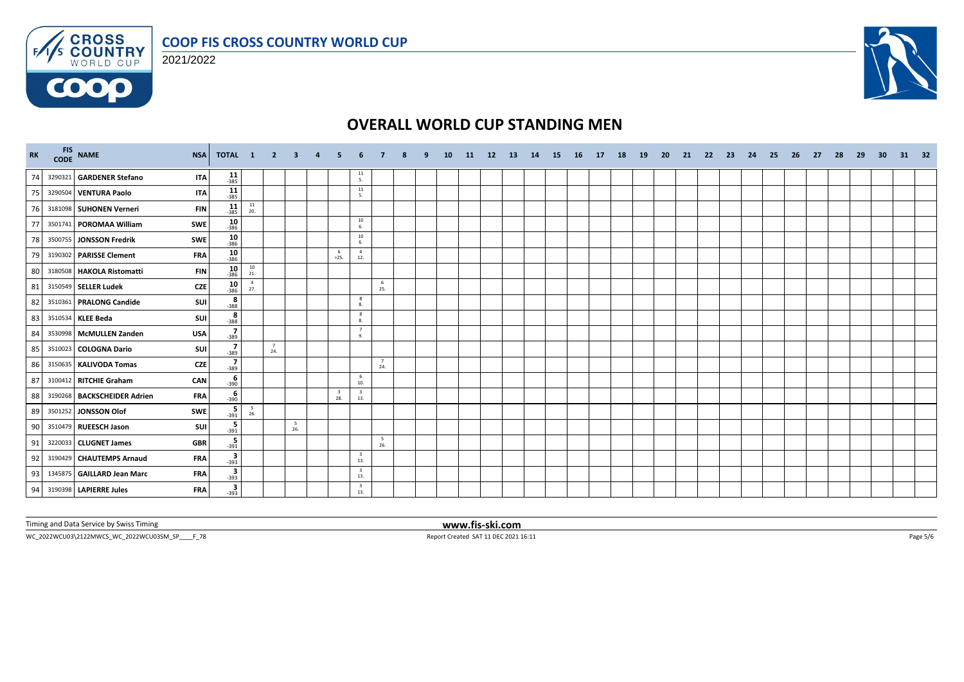





# **OVERALL WORLD CUP STANDING MEN**

| RK | FIS NAME<br><b>NSA</b>                    | TOTAL 1             |                                          | $\overline{2}$ | 3          |                                |                                         |                       |  | 10 | -11 | 12 | -13 | 14 | <b>15</b> | - 16 | 17 | <b>18</b> | <b>19</b> | -20 | 21 | -22 | 23 | 24 | -25 | 26 | -27 | - 28 | -29 | -30 | 31 32 |  |
|----|-------------------------------------------|---------------------|------------------------------------------|----------------|------------|--------------------------------|-----------------------------------------|-----------------------|--|----|-----|----|-----|----|-----------|------|----|-----------|-----------|-----|----|-----|----|----|-----|----|-----|------|-----|-----|-------|--|
| 74 | 3290321 GARDENER Stefano<br><b>ITA</b>    | $11$ <sub>385</sub> |                                          |                |            |                                | $\begin{array}{c} 11 \\ 5. \end{array}$ |                       |  |    |     |    |     |    |           |      |    |           |           |     |    |     |    |    |     |    |     |      |     |     |       |  |
| 75 | 3290504 VENTURA Paolo<br><b>ITA</b>       | $11$<br>-385        |                                          |                |            |                                | 11<br>5.                                |                       |  |    |     |    |     |    |           |      |    |           |           |     |    |     |    |    |     |    |     |      |     |     |       |  |
| 76 | 3181098 SUHONEN Verneri<br><b>FIN</b>     | $11$<br>-385        | $\begin{array}{c} 11 \\ 20. \end{array}$ |                |            |                                |                                         |                       |  |    |     |    |     |    |           |      |    |           |           |     |    |     |    |    |     |    |     |      |     |     |       |  |
| 77 | 3501741 POROMAA William<br><b>SWE</b>     | $\frac{10}{386}$    |                                          |                |            |                                | $10\,$<br>6.                            |                       |  |    |     |    |     |    |           |      |    |           |           |     |    |     |    |    |     |    |     |      |     |     |       |  |
| 78 | <b>SWE</b><br>3500755 JONSSON Fredrik     | $10_{386}$          |                                          |                |            |                                | 10<br>6.                                |                       |  |    |     |    |     |    |           |      |    |           |           |     |    |     |    |    |     |    |     |      |     |     |       |  |
| 79 | 3190302 PARISSE Clement<br><b>FRA</b>     | $\frac{10}{386}$    |                                          |                |            | $=25.$                         | $\overline{4}$<br>12.                   |                       |  |    |     |    |     |    |           |      |    |           |           |     |    |     |    |    |     |    |     |      |     |     |       |  |
| 80 | 3180508 HAKOLA Ristomatti<br><b>FIN</b>   | 10<br>$-386$        | $\begin{array}{c} 10 \\ 21. \end{array}$ |                |            |                                |                                         |                       |  |    |     |    |     |    |           |      |    |           |           |     |    |     |    |    |     |    |     |      |     |     |       |  |
| 81 | 3150549 SELLER Ludek<br><b>CZE</b>        | $\frac{10}{386}$    | $\overline{4}$<br>27.                    |                |            |                                |                                         | 6<br>25.              |  |    |     |    |     |    |           |      |    |           |           |     |    |     |    |    |     |    |     |      |     |     |       |  |
| 82 | 3510361 PRALONG Candide<br><b>SUI</b>     | $\frac{8}{388}$     |                                          |                |            |                                | 8<br>8.                                 |                       |  |    |     |    |     |    |           |      |    |           |           |     |    |     |    |    |     |    |     |      |     |     |       |  |
| 83 | <b>SUI</b><br>3510534 KLEE Beda           | $rac{8}{388}$       |                                          |                |            |                                | 8<br>8.                                 |                       |  |    |     |    |     |    |           |      |    |           |           |     |    |     |    |    |     |    |     |      |     |     |       |  |
| 84 | 3530998 McMULLEN Zanden<br><b>USA</b>     | $\frac{7}{-389}$    |                                          |                |            |                                | $\overline{7}$<br>9.                    |                       |  |    |     |    |     |    |           |      |    |           |           |     |    |     |    |    |     |    |     |      |     |     |       |  |
| 85 | 3510023 COLOGNA Dario<br>SUI              | $\frac{7}{-389}$    |                                          | 7<br>24.       |            |                                |                                         |                       |  |    |     |    |     |    |           |      |    |           |           |     |    |     |    |    |     |    |     |      |     |     |       |  |
| 86 | <b>CZE</b><br>3150635 KALIVODA Tomas      | $\frac{7}{389}$     |                                          |                |            |                                |                                         | $\overline{7}$<br>24. |  |    |     |    |     |    |           |      |    |           |           |     |    |     |    |    |     |    |     |      |     |     |       |  |
| 87 | 3100412 RITCHIE Graham<br>CAN             | $-390$              |                                          |                |            |                                | 6<br>10.                                |                       |  |    |     |    |     |    |           |      |    |           |           |     |    |     |    |    |     |    |     |      |     |     |       |  |
| 88 | 3190268 BACKSCHEIDER Adrien<br><b>FRA</b> | $-390$              |                                          |                |            | $\overline{\mathbf{3}}$<br>28. | $\overline{\mathbf{3}}$<br>13.          |                       |  |    |     |    |     |    |           |      |    |           |           |     |    |     |    |    |     |    |     |      |     |     |       |  |
| 89 | <b>SWE</b><br>3501252 JONSSON Olof        | $-391$              | $\frac{5}{26}$ .                         |                |            |                                |                                         |                       |  |    |     |    |     |    |           |      |    |           |           |     |    |     |    |    |     |    |     |      |     |     |       |  |
| 90 | 3510479 RUEESCH Jason<br><b>SUI</b>       | $\frac{5}{-391}$    |                                          |                | - 5<br>26. |                                |                                         |                       |  |    |     |    |     |    |           |      |    |           |           |     |    |     |    |    |     |    |     |      |     |     |       |  |
| 91 | 3220033 CLUGNET James<br><b>GBR</b>       | $\frac{5}{-391}$    |                                          |                |            |                                |                                         | - 5<br>26.            |  |    |     |    |     |    |           |      |    |           |           |     |    |     |    |    |     |    |     |      |     |     |       |  |
| 92 | 3190429 CHAUTEMPS Arnaud<br><b>FRA</b>    | 3 <sub>393</sub>    |                                          |                |            |                                | $\overline{\mathbf{3}}$<br>13.          |                       |  |    |     |    |     |    |           |      |    |           |           |     |    |     |    |    |     |    |     |      |     |     |       |  |
| 93 | 1345875 GAILLARD Jean Marc<br><b>FRA</b>  | 3 <sub>393</sub>    |                                          |                |            |                                | $\overline{\mathbf{3}}$<br>13.          |                       |  |    |     |    |     |    |           |      |    |           |           |     |    |     |    |    |     |    |     |      |     |     |       |  |
| 94 | 3190398 LAPIERRE Jules<br><b>FRA</b>      | $3^{3}$             |                                          |                |            |                                | $\overline{\mathbf{3}}$<br>13.          |                       |  |    |     |    |     |    |           |      |    |           |           |     |    |     |    |    |     |    |     |      |     |     |       |  |

Timing and Data Service by Swiss Timing **www.fis-ski.com**

WC\_2022WCU03\2122MWCS\_WC\_2022WCU03SM\_SP\_\_\_\_F\_78 Report Created SAT 11 DEC 2021 16:11 Page 5/6